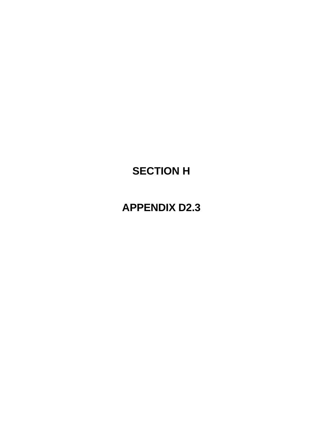# **SECTION H**

## **APPENDIX D2.3**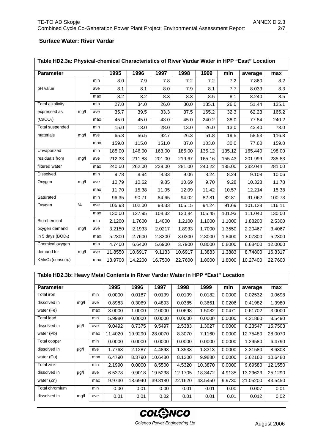### **Surface Water: River Vardar**

|                         | Table HD2.3a: Physical-chemical Characteristics of River Vardar Water in HPP "East" Location |     |         |         |         |         |        |                     |          |         |  |
|-------------------------|----------------------------------------------------------------------------------------------|-----|---------|---------|---------|---------|--------|---------------------|----------|---------|--|
| <b>Parameter</b>        |                                                                                              |     | 1995    | 1996    | 1997    | 1998    | 1999   | min                 | average  | max     |  |
|                         |                                                                                              | min | 8.0     | 7.9     | 7.8     | 7.2     | 7.2    | 7.2                 | 7.860    | 8.2     |  |
| pH value                |                                                                                              | ave | 8.1     | 8.1     | 8.0     | 7.9     | 8.1    | 7.7                 | 8.033    | 8.3     |  |
|                         |                                                                                              | max | 8.2     | 8.2     | 8.3     | 8.3     | 8.5    | 8.1                 | 8.240    | 8.5     |  |
| <b>Total alkalinity</b> |                                                                                              | min | 27.0    | 34.0    | 26.0    | 30.0    | 135.1  | 26.0                | 51.44    | 135.1   |  |
| expressed as            | mg/l                                                                                         | ave | 35.7    | 39.5    | 33.3    | 37.5    | 165.2  | 32.3                | 62.23    | 165.2   |  |
| (CaCO <sub>3</sub> )    |                                                                                              | max | 45.0    | 45.0    | 43.0    | 45.0    | 240.2  | 38.0                | 77.84    | 240.2   |  |
| Total suspended         |                                                                                              | min | 15.0    | 13.0    | 28.0    | 13.0    | 26.0   | 13.0                | 43.40    | 73.0    |  |
| materials               | mg/l                                                                                         | ave | 65.3    | 56.5    | 92.7    | 26.3    | 51.8   | 19.5                | 58.53    | 116.8   |  |
|                         |                                                                                              | max | 159.0   | 115.0   | 151.0   | 37.0    | 103.0  | 30.0                | 77.60    | 159.0   |  |
| Unvaporized             |                                                                                              | min | 185.00  | 146.00  | 163.00  | 185.00  | 135.12 | 135.12              | 165.440  | 198.00  |  |
| residuals from          | mg/l                                                                                         | ave | 212.33  | 211.83  | 201.00  | 219.67  | 165.16 | 155.43              | 201.999  | 235.83  |  |
| filtered water          |                                                                                              | max | 240.00  | 262.00  | 239.00  | 281.00  | 240.22 | 185.00              | 232.044  | 281.00  |  |
| <b>Dissolved</b>        |                                                                                              | min | 9.78    | 8.94    | 8.33    | 9.06    | 8.24   | 8.24                | 9.108    | 10.06   |  |
| Oxygen                  | mg/l                                                                                         | ave | 10.79   | 10.62   | 9.85    | 10.69   | 9.70   | 9.28                | 10.328   | 11.78   |  |
|                         |                                                                                              | max | 11.70   | 15.38   | 11.05   | 12.09   | 11.42  | 10.57               | 12.214   | 15.38   |  |
| Saturated               |                                                                                              | min | 96.35   | 90.71   | 84.65   | 94.02   | 82.81  | 82.81               | 91.062   | 100.73  |  |
| Oxygen                  | %                                                                                            | ave | 105.93  | 102.00  | 98.33   | 105.15  | 94.24  | 91.69               | 101.128  | 116.11  |  |
|                         |                                                                                              | max | 130.00  | 127.95  | 108.32  | 120.84  | 105.45 | 101.93              | 111.040  | 130.00  |  |
| Bio-chemical            |                                                                                              | min | 2.1200  | 1.7600  | 1.4000  | 1.2100  | 1.1000 | $\overline{1.1000}$ | 1.88200  | 2.5300  |  |
| oxygen demand           | mg/l                                                                                         | ave | 3.2150  | 2.1933  | 2.0217  | 1.8933  | 1.7000 | 1.3550              | 2.20467  | 3.4067  |  |
| in 5 days ( $BOD5$ )    |                                                                                              | max | 5.2300  | 2.7600  | 2.8300  | 3.0300  | 2.8000 | 1.8400              | 3.07800  | 5.2300  |  |
| Chemical oxygen         |                                                                                              | min | 4.7400  | 6.6400  | 5.6900  | 3.7900  | 0.8000 | 0.8000              | 6.68400  | 12.0000 |  |
| demand for              | mg/l                                                                                         | ave | 11.8550 | 10.6917 | 9.1133  | 10.6917 | 1.3883 | 1.3883              | 8.74800  | 16.3317 |  |
| $KMnO4$ (consum.)       |                                                                                              | max | 18.9700 | 14.2200 | 16.7500 | 22.7600 | 1.8000 | 1.8000              | 10.27400 | 22.7600 |  |

#### **Table HD2.3b: Heavy Metal Contents in River Vardar Water in HPP "East" Location**

| <b>Parameter</b> |           |     | 1995    | 1996    | 1997    | 1998    | 1999    | min    | average  | max     |
|------------------|-----------|-----|---------|---------|---------|---------|---------|--------|----------|---------|
| Total iron       |           | min | 0.0000  | 0.0187  | 0.0199  | 0.0109  | 0.0182  | 0.0000 | 0.02532  | 0.0698  |
| dissolved in     | mg/l      | ave | 0.8983  | 0.3069  | 0.4893  | 0.0385  | 0.3661  | 0.0206 | 0.41982  | 1.3980  |
| water (Fe)       |           | max | 3.0000  | 1.0000  | 2.0000  | 0.0698  | 1.5082  | 0.0471 | 0.61702  | 3.0000  |
| Total lead       |           | min | 5.9980  | 0.0000  | 0.0000  | 0.0000  | 0.0000  | 0.0000 | 4.21860  | 8.5490  |
| dissolved in     | $\mu$ g/l | ave | 9.0492  | 8.7375  | 9.5497  | 2.5383  | 1.3027  | 0.0000 | 6.23547  | 15.7503 |
| water (Pb)       |           | max | 11.4020 | 19.9290 | 28,0070 | 8.3070  | 7.1160  | 0.0000 | 12.75480 | 28,0070 |
| Total copper     |           | min | 0.0000  | 0.0000  | 0.0000  | 0.0000  | 0.0000  | 0.0000 | 1.29580  | 6.4790  |
| dissolved in     | $\mu$ g/l | ave | 1.7763  | 2.1287  | 4.4893  | 1.3533  | 1.8313  | 0.0000 | 2.31580  | 8.6303  |
| water (Cu)       |           | max | 6.4790  | 8.3790  | 10.6480 | 8.1200  | 9.9880  | 0.0000 | 3.62160  | 10.6480 |
| Total zink       |           | min | 2.1990  | 0.0000  | 8.5500  | 4.5320  | 10.3870 | 0.0000 | 9.69580  | 12.1550 |
| dissolved in     | $\mu$ g/l | ave | 6.5378  | 9.9018  | 19.5238 | 12.1705 | 18.3472 | 4.9135 | 13.29623 | 25.1290 |
| water (Zn)       |           | max | 9.9730  | 18.6940 | 39.8180 | 22.1620 | 43.5450 | 9.9730 | 21.05200 | 43.5450 |
| Total chromium   |           | min | 0.00    | 0.01    | 0.00    | 0.01    | 0.01    | 0.00   | 0.007    | 0.01    |
| dissolved in     | mg/l      | ave | 0.01    | 0.01    | 0.02    | 0.01    | 0.01    | 0.01   | 0.012    | 0.02    |

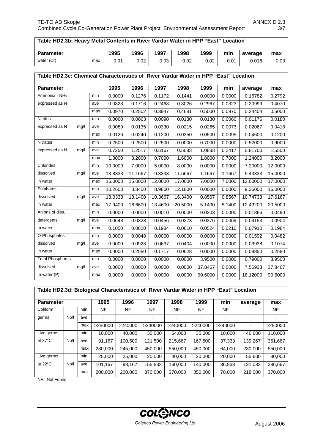| × |
|---|
|---|

#### **Table HD2.3b: Heavy Metal Contents in River Vardar Water in HPP "East" Location**

| <b>Parameter</b> |  |     | 1995 | 1996 | 1997 | 1998 | 1999 | min  | average | max  |
|------------------|--|-----|------|------|------|------|------|------|---------|------|
| water (Cr)       |  | max | 0.01 | 0.02 | 0.03 | 0.02 | 0.02 | 0.01 | 0.016   | 0.03 |

#### **Table HD2.3c: Chemical Characteristics of River Vardar Water in HPP "East" Location**

| <b>Parameter</b>        |      | 1995 | 1996    | 1997    | 1998    | 1999    | min     |        | max      |         |
|-------------------------|------|------|---------|---------|---------|---------|---------|--------|----------|---------|
|                         |      |      |         |         |         |         |         |        | average  |         |
| Ammonia - $NH3$         |      | min  | 0.0000  | 0.1276  | 0.1172  | 0.1441  | 0.0000  | 0.0000 | 0.16782  | 0.2792  |
| expressed as N          |      | ave  | 0.0323  | 0.1716  | 0.2468  | 0.3026  | 0.2967  | 0.0323 | 0.20999  | 0.4070  |
|                         |      | max  | 0.0970  | 0.2502  | 0.3947  | 0.4681  | 0.5000  | 0.0970 | 0.24404  | 0.5000  |
| <b>Nitrites</b>         |      | min  | 0.0060  | 0.0063  | 0.0090  | 0.0130  | 0.0130  | 0.0060 | 0.01176  | 0.0180  |
| expressed as N          | mg/l | ave  | 0.0089  | 0.0135  | 0.0330  | 0.0215  | 0.0265  | 0.0073 | 0.02067  | 0.0418  |
|                         |      | max  | 0.0126  | 0.0240  | 0.1200  | 0.0350  | 0.0500  | 0.0095 | 0.04600  | 0.1200  |
| <b>Nitrates</b>         |      | min  | 0.2500  | 0.2500  | 0.2500  | 0.0000  | 0.7000  | 0.0000 | 0.52000  | 0.9000  |
| expressed as N          | mg/l | ave  | 0.7250  | 1.2517  | 0.5167  | 0.5083  | 1.0833  | 0.2417 | 0.81700  | 1.5500  |
|                         |      | max  | 1.3000  | 3.2000  | 0.7000  | 1.6000  | 1.8000  | 0.7000 | 1.24000  | 3.2000  |
| Chlorides               |      | min  | 10.0000 | 7.0000  | 5.0000  | 8.0000  | 0.0000  | 0.0000 | 7.20000  | 12.0000 |
| dissolved               | mg/l | ave  | 13.8333 | 11.1667 | 9.3333  | 11.6667 | 1.1667  | 1.1667 | 9.43333  | 15.0000 |
| in water                |      | max  | 16.0000 | 15.0000 | 12.0000 | 17.0000 | 7.0000  | 7.0000 | 12.00000 | 17.0000 |
| Sulphates               |      | min  | 10.2600 | 8.3400  | 8.9800  | 12.1800 | 0.0000  | 0.0000 | 9.36000  | 16.0000 |
| dissolved               | mg/l | ave  | 13.0333 | 13.1400 | 10.3667 | 16.3400 | 0.8567  | 0.8567 | 10.74733 | 17.6167 |
| in water                |      | max  | 17.9400 | 16.6600 | 13.4600 | 20.5000 | 5.1400  | 5.1400 | 12.43200 | 20.5000 |
| Anions of diss.         |      | min  | 0.0000  | 0.0000  | 0.0010  | 0.0000  | 0.0203  | 0.0000 | 0.01866  | 0.0490  |
| detergents              | mg/l | ave  | 0.0648  | 0.0323  | 0.0456  | 0.0273  | 0.0376  | 0.0069 | 0.04153  | 0.0904  |
| In water                |      | max  | 0.1050  | 0.0820  | 0.1984  | 0.0610  | 0.0524  | 0.0210 | 0.07910  | 0.1984  |
| O-Phosphates            |      | min  | 0.0000  | 0.0048  | 0.0000  | 0.0000  | 0.0000  | 0.0000 | 0.01592  | 0.0482  |
| dissolved               | mg/l | ave  | 0.0000  | 0.0928  | 0.0637  | 0.0404  | 0.0000  | 0.0000 | 0.03938  | 0.1074  |
| in water                |      | max  | 0.0000  | 0.2580  | 0.1717  | 0.0628  | 0.0000  | 0.0000 | 0.09850  | 0.2580  |
| <b>Total Phosphorus</b> |      | min  | 0.0000  | 0.0000  | 0.0000  | 0.0000  | 3.9500  | 0.0000 | 0.79000  | 3.9500  |
| dissolved               | mg/l | ave  | 0.0000  | 0.0000  | 0.0000  | 0.0000  | 37.8467 | 0.0000 | 7.56933  | 37.8467 |
| In water $(P)$          |      | max  | 0.0000  | 0.0000  | 0.0000  | 0.0000  | 90.6000 | 0.0000 | 18.12000 | 90.6000 |

#### **Table HD2.3d: Biological Characteristics of River Vardar Water in HPP "East" Location**

| <b>Parameter</b>  |      | 1995 | 1996    | 1997      | 1998    | 1999    | min     | average | max                      |         |
|-------------------|------|------|---------|-----------|---------|---------|---------|---------|--------------------------|---------|
| Coliform          |      | min  | NF      | <b>NF</b> | NF      | NF      | NF      | NF      |                          | NF      |
| germs             | No/I | ave  |         |           |         |         |         |         |                          |         |
|                   |      | max  | >250000 | >240000   | >240000 | >240000 | >240000 | >240000 | $\overline{\phantom{0}}$ | >250000 |
| Live germs        |      | min  | 10.000  | 40.000    | 30,000  | 64.000  | 35,000  | 10.000  | 46.600                   | 110.000 |
| at $37^{\circ}$ C | No/I | ave  | 91.167  | 100,500   | 121.500 | 215.667 | 167,500 | 37,333  | 139,267                  | 351.667 |
|                   |      | max  | 280,000 | 245,000   | 450,000 | 550,000 | 450,000 | 64,000  | 230,000                  | 550,000 |
| Live germs        |      | min  | 25,000  | 25,000    | 20,000  | 40,000  | 20,000  | 20,000  | 55,600                   | 80,000  |
| at $22^{\circ}$ C | No/I | ave  | 101.167 | 98,167    | 155.833 | 160.000 | 140.000 | 36,833  | 131,033                  | 286,667 |
|                   |      | max  | 200.000 | 200.000   | 370,000 | 370.000 | 350,000 | 70,000  | 218,000                  | 370,000 |

NF: Not Found

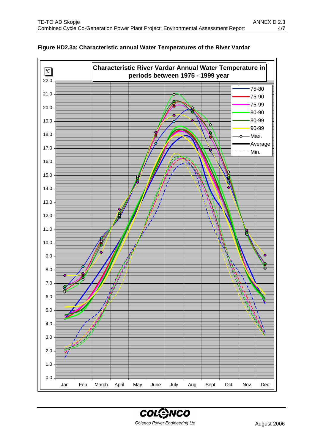

#### **Figure HD2.3a: Characteristic annual Water Temperatures of the River Vardar**

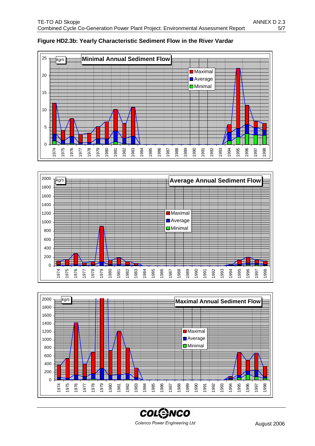

#### **Figure HD2.3b: Yearly Characteristic Sediment Flow in the River Vardar**





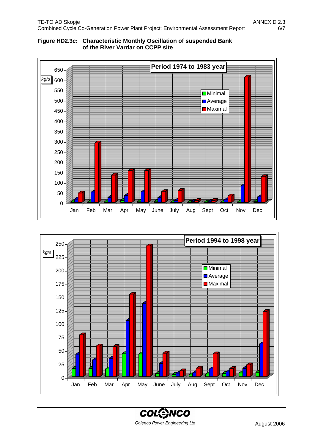

#### **Figure HD2.3c: Characteristic Monthly Oscillation of suspended Bank of the River Vardar on CCPP site**